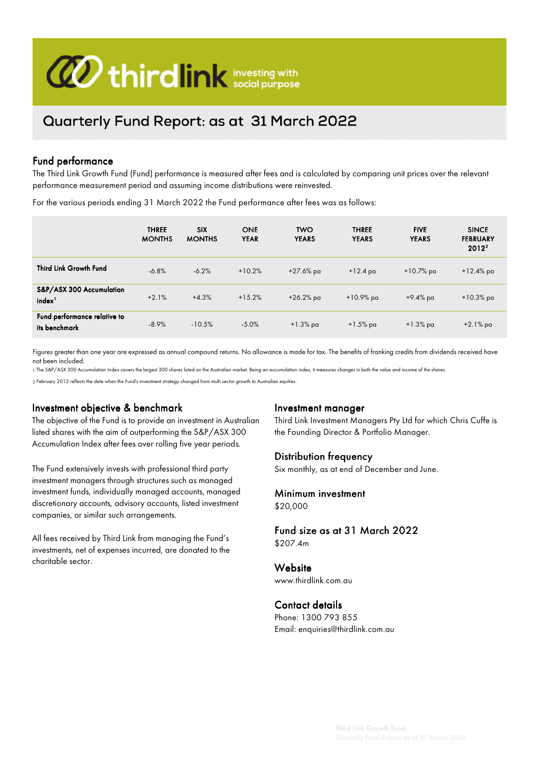

# Quarterly Fund Report: as at 31 March 2022

#### Fund performance

The Third Link Growth Fund (Fund) performance is measured after fees and is calculated by comparing unit prices over the relevant performance measurement period and assuming income distributions were reinvested.

For the various periods ending 31 March 2022 the Fund performance after fees was as follows:

|                                                | <b>THREE</b><br><b>MONTHS</b> | <b>SIX</b><br><b>MONTHS</b> | <b>ONE</b><br><b>YEAR</b> | <b>TWO</b><br><b>YEARS</b> | <b>THREE</b><br><b>YEARS</b> | <b>FIVE</b><br><b>YEARS</b> | <b>SINCE</b><br><b>FEBRUARY</b><br>$2012^2$ |
|------------------------------------------------|-------------------------------|-----------------------------|---------------------------|----------------------------|------------------------------|-----------------------------|---------------------------------------------|
| <b>Third Link Growth Fund</b>                  | $-6.8%$                       | $-6.2%$                     | $+10.2%$                  | +27.6% pa                  | $+12.4$ pa                   | $+10.7%$ pa                 | $+12.4\%$ pa                                |
| S&P/ASX 300 Accumulation<br>index <sup>1</sup> | $+2.1%$                       | $+4.3%$                     | $+15.2%$                  | $+26.2%$ pa                | $+10.9%$ pa                  | +9.4% pa                    | $+10.3\%$ pa                                |
| Fund performance relative to<br>its benchmark  | $-8.9%$                       | $-10.5%$                    | $-5.0%$                   | $+1.3\%$ pa                | $+1.5\%$ pa                  | $+1.3\%$ pa                 | $+2.1\%$ pa                                 |

Figures greater than one year are expressed as annual compound returns. No allowance is made for tax. The benefits of franking credits from dividends received have not been included.

1 The S&P/ASX 300 Accumulation Index covers the largest 300 shares listed on the Australian market. Being an accumulation index, it measures changes in both the value and income of the shares.

2 February 2012 reflects the date when the Fund's investment strategy changed from multi sector growth to Australian equities.

#### Investment objective & benchmark

The objective of the Fund is to provide an investment in Australian listed shares with the aim of outperforming the S&P/ASX 300 Accumulation Index after fees over rolling five year periods.

The Fund extensively invests with professional third party investment managers through structures such as managed investment funds, individually managed accounts, managed discretionary accounts, advisory accounts, listed investment companies, or similar such arrangements.

All fees received by Third Link from managing the Fund's investments, net of expenses incurred, are donated to the charitable sector.

#### Investment manager

Third Link Investment Managers Pty Ltd for which Chris Cuffe is the Founding Director & Portfolio Manager.

#### Distribution frequency

Six monthly, as at end of December and June.

## Minimum investment

\$20,000

#### Fund size as at 31 March 2022 \$207.4m

**Website** 

www.thirdlink.com.au

#### Contact details

Phone: 1300 793 855 Email: enquiries@thirdlink.com.au